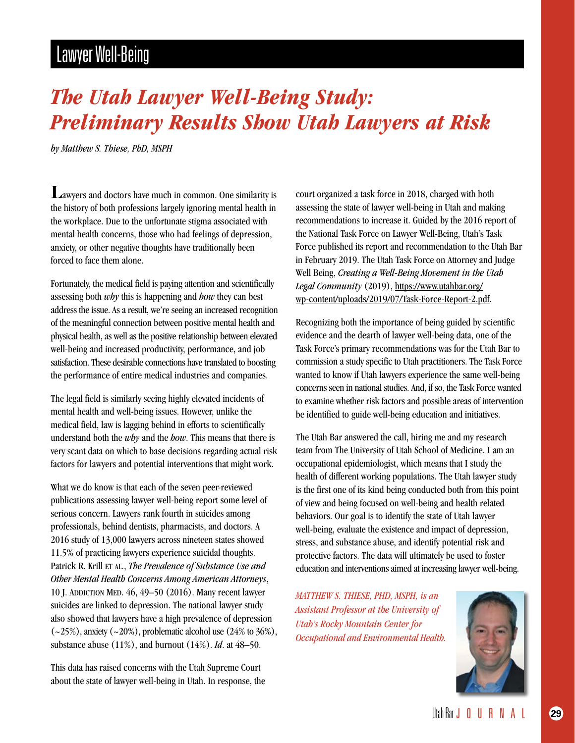## Lawyer Well-Being

## *The Utah Lawyer Well-Being Study: Preliminary Results Show Utah Lawyers at Risk*

*by Matthew S. Thiese, PhD, MSPH*

Lawyers and doctors have much in common. One similarity is the history of both professions largely ignoring mental health in the workplace. Due to the unfortunate stigma associated with mental health concerns, those who had feelings of depression, anxiety, or other negative thoughts have traditionally been forced to face them alone.

Fortunately, the medical field is paying attention and scientifically assessing both *why* this is happening and *how* they can best address the issue. As a result, we're seeing an increased recognition of the meaningful connection between positive mental health and physical health, as well as the positive relationship between elevated well-being and increased productivity, performance, and job satisfaction. These desirable connections have translated to boosting the performance of entire medical industries and companies.

The legal field is similarly seeing highly elevated incidents of mental health and well-being issues. However, unlike the medical field, law is lagging behind in efforts to scientifically understand both the *why* and the *how*. This means that there is very scant data on which to base decisions regarding actual risk factors for lawyers and potential interventions that might work.

What we do know is that each of the seven peer-reviewed publications assessing lawyer well-being report some level of serious concern. Lawyers rank fourth in suicides among professionals, behind dentists, pharmacists, and doctors. A 2016 study of 13,000 lawyers across nineteen states showed 11.5% of practicing lawyers experience suicidal thoughts. Patrick R. Krill ET AL., *The Prevalence of Substance Use and Other Mental Health Concerns Among American Attorneys*, 10 J. ADDICTION MED. 46, 49–50 (2016). Many recent lawyer suicides are linked to depression. The national lawyer study also showed that lawyers have a high prevalence of depression  $(-25\%)$ , anxiety  $(-20\%)$ , problematic alcohol use  $(24\%$  to 36%), substance abuse (11%), and burnout (14%). *Id*. at 48–50.

This data has raised concerns with the Utah Supreme Court about the state of lawyer well-being in Utah. In response, the court organized a task force in 2018, charged with both assessing the state of lawyer well-being in Utah and making recommendations to increase it. Guided by the 2016 report of the National Task Force on Lawyer Well-Being, Utah's Task Force published its report and recommendation to the Utah Bar in February 2019. The Utah Task Force on Attorney and Judge Well Being, *Creating a Well-Being Movement in the Utah Legal Community* (2019), [https://www.utahbar.org/](https://www.utahbar.org/wp-content/uploads/2019/07/Task-Force-Report-2.pdf) [wp-content/uploads/2019/07/Task-Force-Report-2.pdf](https://www.utahbar.org/wp-content/uploads/2019/07/Task-Force-Report-2.pdf).

Recognizing both the importance of being guided by scientific evidence and the dearth of lawyer well-being data, one of the Task Force's primary recommendations was for the Utah Bar to commission a study specific to Utah practitioners. The Task Force wanted to know if Utah lawyers experience the same well-being concerns seen in national studies. And, if so, the Task Force wanted to examine whether risk factors and possible areas of intervention be identified to guide well-being education and initiatives.

The Utah Bar answered the call, hiring me and my research team from The University of Utah School of Medicine. I am an occupational epidemiologist, which means that I study the health of different working populations. The Utah lawyer study is the first one of its kind being conducted both from this point of view and being focused on well-being and health related behaviors. Our goal is to identify the state of Utah lawyer well-being, evaluate the existence and impact of depression, stress, and substance abuse, and identify potential risk and protective factors. The data will ultimately be used to foster education and interventions aimed at increasing lawyer well-being.

*MATTHEW S. THIESE, PHD, MSPH, is an Assistant Professor at the University of Utah's Rocky Mountain Center for Occupational and Environmental Health.*